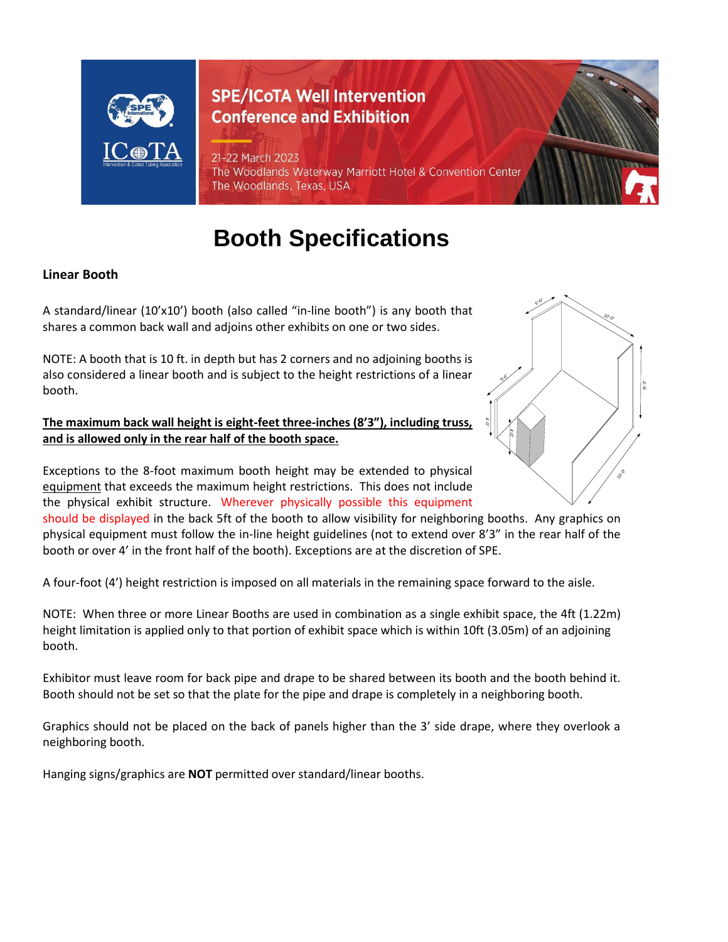

# **SPE/ICoTA Well Intervention Conference and Exhibition**

#### 21-22 March 2023

The Woodlands Waterway Marriott Hotel & Convention Center The Woodlands, Texas, USA

# **Booth Specifications**

## **Linear Booth**

A standard/linear (10'x10') booth (also called "in-line booth") is any booth that shares a common back wall and adjoins other exhibits on one or two sides.

NOTE: A booth that is 10 ft. in depth but has 2 corners and no adjoining booths is also considered a linear booth and is subject to the height restrictions of a linear booth.

#### **The maximum back wall height is eight-feet three-inches (8'3"), including truss, and is allowed only in the rear half of the booth space.**

Exceptions to the 8-foot maximum booth height may be extended to physical equipment that exceeds the maximum height restrictions. This does not include the physical exhibit structure. Wherever physically possible this equipment

should be displayed in the back 5ft of the booth to allow visibility for neighboring booths. Any graphics on physical equipment must follow the in-line height guidelines (not to extend over 8'3" in the rear half of the booth or over 4' in the front half of the booth). Exceptions are at the discretion of SPE.

A four-foot (4') height restriction is imposed on all materials in the remaining space forward to the aisle.

NOTE: When three or more Linear Booths are used in combination as a single exhibit space, the 4ft (1.22m) height limitation is applied only to that portion of exhibit space which is within 10ft (3.05m) of an adjoining booth.

Exhibitor must leave room for back pipe and drape to be shared between its booth and the booth behind it. Booth should not be set so that the plate for the pipe and drape is completely in a neighboring booth.

Graphics should not be placed on the back of panels higher than the 3' side drape, where they overlook a neighboring booth.

Hanging signs/graphics are **NOT** permitted over standard/linear booths.

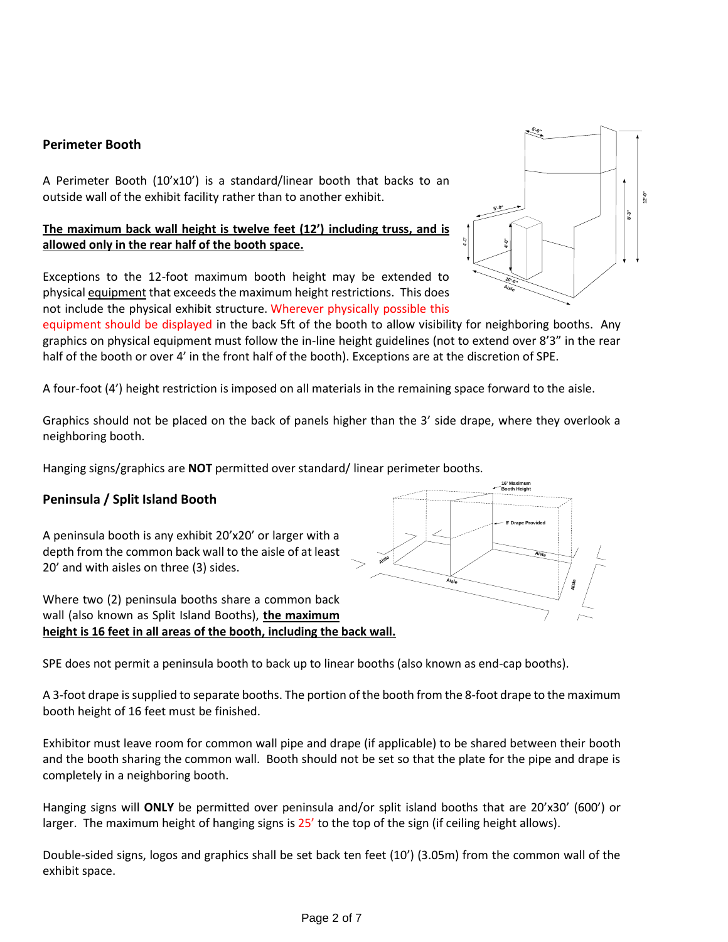#### **Perimeter Booth**

A Perimeter Booth (10'x10') is a standard/linear booth that backs to an outside wall of the exhibit facility rather than to another exhibit.

#### **The maximum back wall height is twelve feet (12') including truss, and is allowed only in the rear half of the booth space.**

Exceptions to the 12-foot maximum booth height may be extended to physical equipment that exceeds the maximum height restrictions. This does not include the physical exhibit structure. Wherever physically possible this

equipment should be displayed in the back 5ft of the booth to allow visibility for neighboring booths. Any graphics on physical equipment must follow the in-line height guidelines (not to extend over 8'3" in the rear half of the booth or over 4' in the front half of the booth). Exceptions are at the discretion of SPE.

A four-foot (4') height restriction is imposed on all materials in the remaining space forward to the aisle.

Graphics should not be placed on the back of panels higher than the 3' side drape, where they overlook a neighboring booth.

Hanging signs/graphics are **NOT** permitted over standard/ linear perimeter booths.

#### **Peninsula / Split Island Booth**

A peninsula booth is any exhibit 20'x20' or larger with a depth from the common back wall to the aisle of at least 20' and with aisles on three (3) sides.

Where two (2) peninsula booths share a common back wall (also known as Split Island Booths), **the maximum height is 16 feet in all areas of the booth, including the back wall.**



A 3-foot drape is supplied to separate booths. The portion of the booth from the 8-foot drape to the maximum booth height of 16 feet must be finished.

Exhibitor must leave room for common wall pipe and drape (if applicable) to be shared between their booth and the booth sharing the common wall. Booth should not be set so that the plate for the pipe and drape is completely in a neighboring booth.

Hanging signs will **ONLY** be permitted over peninsula and/or split island booths that are 20'x30' (600') or larger. The maximum height of hanging signs is 25' to the top of the sign (if ceiling height allows).

Double-sided signs, logos and graphics shall be set back ten feet (10') (3.05m) from the common wall of the



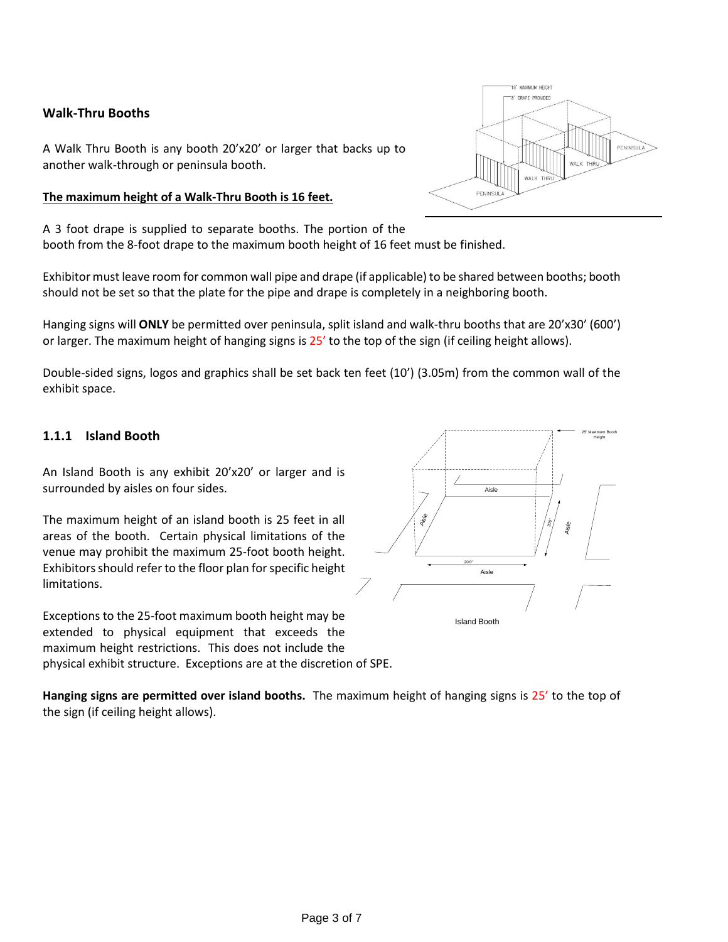#### **Walk-Thru Booths**

A Walk Thru Booth is any booth 20'x20' or larger that backs up to another walk-through or peninsula booth.

#### **The maximum height of a Walk-Thru Booth is 16 feet.**

A 3 foot drape is supplied to separate booths. The portion of the booth from the 8-foot drape to the maximum booth height of 16 feet must be finished.

Exhibitor must leave room for common wall pipe and drape (if applicable) to be shared between booths; booth should not be set so that the plate for the pipe and drape is completely in a neighboring booth.

Hanging signs will **ONLY** be permitted over peninsula, split island and walk-thru booths that are 20'x30' (600') or larger. The maximum height of hanging signs is 25' to the top of the sign (if ceiling height allows).

Double-sided signs, logos and graphics shall be set back ten feet (10') (3.05m) from the common wall of the exhibit space.

#### **1.1.1 Island Booth**

An Island Booth is any exhibit 20'x20' or larger and is surrounded by aisles on four sides.

The maximum height of an island booth is 25 feet in all areas of the booth. Certain physical limitations of the venue may prohibit the maximum 25-foot booth height. Exhibitors should refer to the floor plan forspecific height limitations.

Exceptions to the 25-foot maximum booth height may be extended to physical equipment that exceeds the maximum height restrictions. This does not include the physical exhibit structure. Exceptions are at the discretion of SPE.





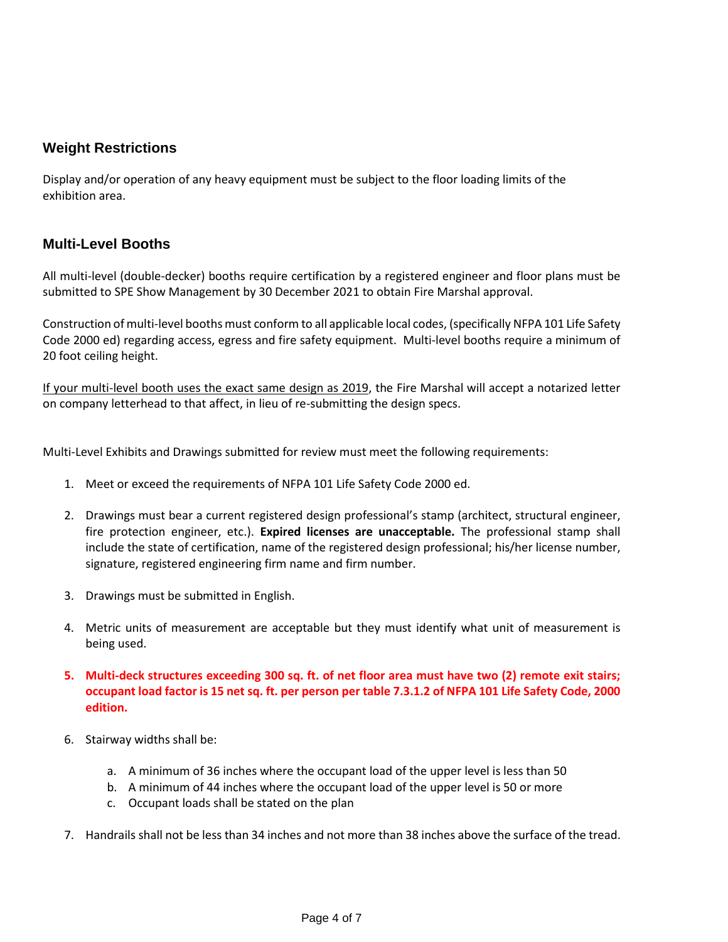# **Weight Restrictions**

Display and/or operation of any heavy equipment must be subject to the floor loading limits of the exhibition area.

## **Multi-Level Booths**

All multi-level (double-decker) booths require certification by a registered engineer and floor plans must be submitted to SPE Show Management by 30 December 2021 to obtain Fire Marshal approval.

Construction of multi-level booths must conform to all applicable local codes, (specifically NFPA 101 Life Safety Code 2000 ed) regarding access, egress and fire safety equipment. Multi-level booths require a minimum of 20 foot ceiling height.

If your multi-level booth uses the exact same design as 2019, the Fire Marshal will accept a notarized letter on company letterhead to that affect, in lieu of re-submitting the design specs.

Multi-Level Exhibits and Drawings submitted for review must meet the following requirements:

- 1. Meet or exceed the requirements of NFPA 101 Life Safety Code 2000 ed.
- 2. Drawings must bear a current registered design professional's stamp (architect, structural engineer, fire protection engineer, etc.). **Expired licenses are unacceptable.** The professional stamp shall include the state of certification, name of the registered design professional; his/her license number, signature, registered engineering firm name and firm number.
- 3. Drawings must be submitted in English.
- 4. Metric units of measurement are acceptable but they must identify what unit of measurement is being used.
- **5. Multi-deck structures exceeding 300 sq. ft. of net floor area must have two (2) remote exit stairs; occupant load factor is 15 net sq. ft. per person per table 7.3.1.2 of NFPA 101 Life Safety Code, 2000 edition.**
- 6. Stairway widths shall be:
	- a. A minimum of 36 inches where the occupant load of the upper level is less than 50
	- b. A minimum of 44 inches where the occupant load of the upper level is 50 or more
	- c. Occupant loads shall be stated on the plan
- 7. Handrails shall not be less than 34 inches and not more than 38 inches above the surface of the tread.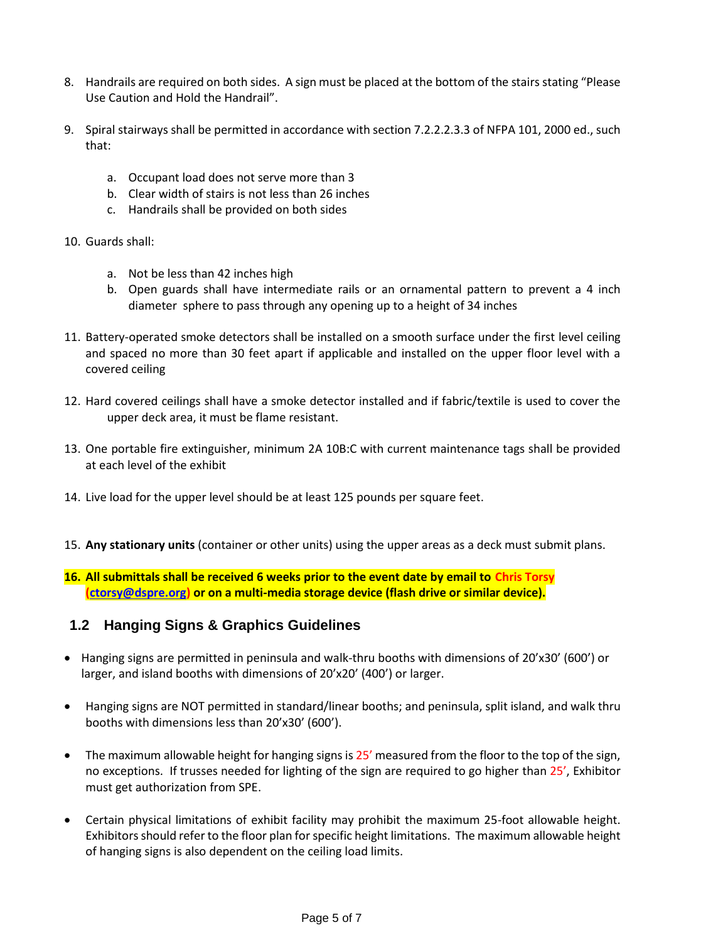- 8. Handrails are required on both sides. A sign must be placed at the bottom of the stairs stating "Please Use Caution and Hold the Handrail".
- 9. Spiral stairways shall be permitted in accordance with section 7.2.2.2.3.3 of NFPA 101, 2000 ed., such that:
	- a. Occupant load does not serve more than 3
	- b. Clear width of stairs is not less than 26 inches
	- c. Handrails shall be provided on both sides
- 10. Guards shall:
	- a. Not be less than 42 inches high
	- b. Open guards shall have intermediate rails or an ornamental pattern to prevent a 4 inch diameter sphere to pass through any opening up to a height of 34 inches
- 11. Battery-operated smoke detectors shall be installed on a smooth surface under the first level ceiling and spaced no more than 30 feet apart if applicable and installed on the upper floor level with a covered ceiling
- 12. Hard covered ceilings shall have a smoke detector installed and if fabric/textile is used to cover the upper deck area, it must be flame resistant.
- 13. One portable fire extinguisher, minimum 2A 10B:C with current maintenance tags shall be provided at each level of the exhibit
- 14. Live load for the upper level should be at least 125 pounds per square feet.
- 15. **Any stationary units** (container or other units) using the upper areas as a deck must submit plans.
- **16. All submittals shall be received 6 weeks prior to the event date by email to Chris Torsy [\(ctorsy@dspre.org\)](mailto:ctorsy@dspre.org) or on a multi-media storage device (flash drive or similar device).**

# **1.2 Hanging Signs & Graphics Guidelines**

- Hanging signs are permitted in peninsula and walk-thru booths with dimensions of 20'x30' (600') or larger, and island booths with dimensions of 20'x20' (400') or larger.
- Hanging signs are NOT permitted in standard/linear booths; and peninsula, split island, and walk thru booths with dimensions less than 20'x30' (600').
- The maximum allowable height for hanging signs is 25' measured from the floor to the top of the sign, no exceptions. If trusses needed for lighting of the sign are required to go higher than 25', Exhibitor must get authorization from SPE.
- Certain physical limitations of exhibit facility may prohibit the maximum 25-foot allowable height. Exhibitors should refer to the floor plan forspecific height limitations. The maximum allowable height of hanging signs is also dependent on the ceiling load limits.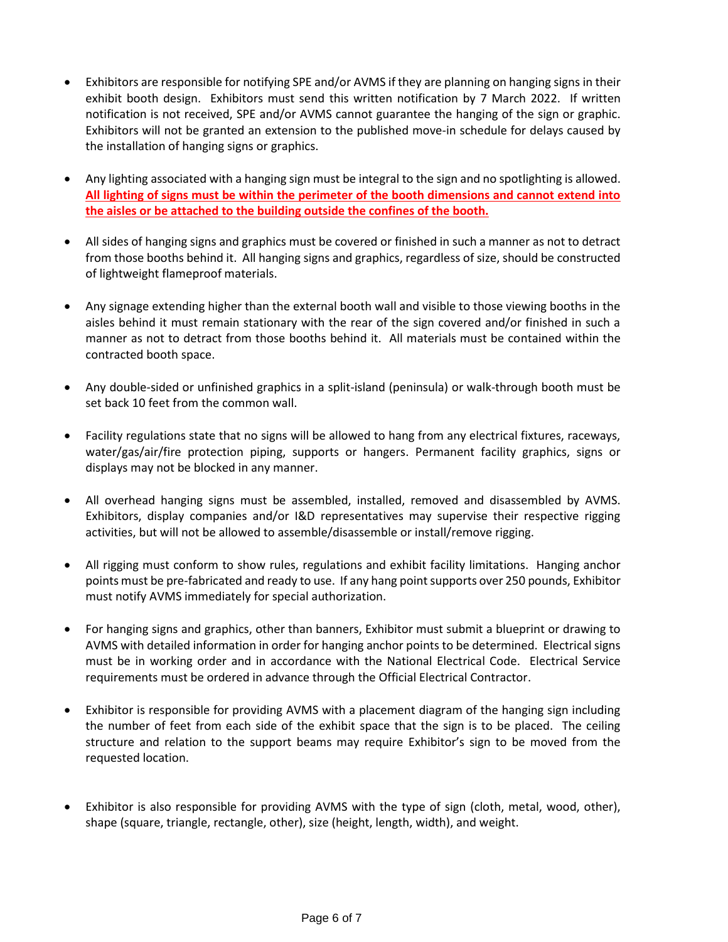- Exhibitors are responsible for notifying SPE and/or AVMS if they are planning on hanging signs in their exhibit booth design. Exhibitors must send this written notification by 7 March 2022. If written notification is not received, SPE and/or AVMS cannot guarantee the hanging of the sign or graphic. Exhibitors will not be granted an extension to the published move-in schedule for delays caused by the installation of hanging signs or graphics.
- Any lighting associated with a hanging sign must be integral to the sign and no spotlighting is allowed. **All lighting of signs must be within the perimeter of the booth dimensions and cannot extend into the aisles or be attached to the building outside the confines of the booth.**
- All sides of hanging signs and graphics must be covered or finished in such a manner as not to detract from those booths behind it. All hanging signs and graphics, regardless of size, should be constructed of lightweight flameproof materials.
- Any signage extending higher than the external booth wall and visible to those viewing booths in the aisles behind it must remain stationary with the rear of the sign covered and/or finished in such a manner as not to detract from those booths behind it. All materials must be contained within the contracted booth space.
- Any double-sided or unfinished graphics in a split-island (peninsula) or walk-through booth must be set back 10 feet from the common wall.
- Facility regulations state that no signs will be allowed to hang from any electrical fixtures, raceways, water/gas/air/fire protection piping, supports or hangers. Permanent facility graphics, signs or displays may not be blocked in any manner.
- All overhead hanging signs must be assembled, installed, removed and disassembled by AVMS. Exhibitors, display companies and/or I&D representatives may supervise their respective rigging activities, but will not be allowed to assemble/disassemble or install/remove rigging.
- All rigging must conform to show rules, regulations and exhibit facility limitations. Hanging anchor points must be pre-fabricated and ready to use. If any hang point supports over 250 pounds, Exhibitor must notify AVMS immediately for special authorization.
- For hanging signs and graphics, other than banners, Exhibitor must submit a blueprint or drawing to AVMS with detailed information in order for hanging anchor points to be determined. Electrical signs must be in working order and in accordance with the National Electrical Code. Electrical Service requirements must be ordered in advance through the Official Electrical Contractor.
- Exhibitor is responsible for providing AVMS with a placement diagram of the hanging sign including the number of feet from each side of the exhibit space that the sign is to be placed. The ceiling structure and relation to the support beams may require Exhibitor's sign to be moved from the requested location.
- Exhibitor is also responsible for providing AVMS with the type of sign (cloth, metal, wood, other), shape (square, triangle, rectangle, other), size (height, length, width), and weight.